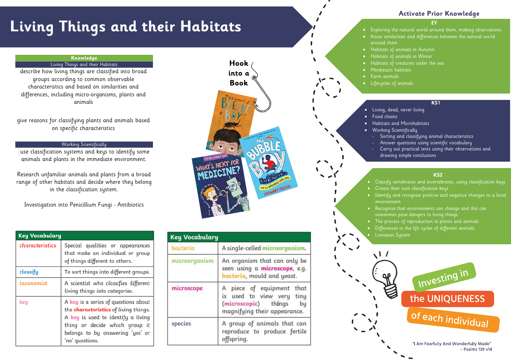# **Living Things and their Habitats**

#### **EY**

• Exploring the natural world around them, making observations. • Know similarities and differences between the natural world

# around them.

## **Activate Prior Knowledge**

#### **KS1**

- Living, dead, never living
	- Sorting and classifying animal characteristics
	- drawing simple conclusions
- Habitats of animals in Autumn
- Habitats of animals in Winter • Habitats of creatures under the sea
- Minibeasts habitats
	- Farm animals
- Lifecycles of animals
- 
- Food chains
- Habitats and Microhabitats
- Working Scientifically
- Answer questions using scientific vocabulary
- Carry out practical tests using their observations and
- 
- Recognise that environments can change and this can sometimes pose dangers to living things. • The process of reproduction in plants and animals
- Differences in the life cycles of different animals • Linnaean System

#### **KS2**

- Classify vertebrates and invertebrates, using classification keys • Create their own classification keys
- Identify and recognise positive and negative changes to a local environment



### **Knowledge**

#### Living Things and their Habitats

describe how living things are classified into broad groups according to common observable characteristics and based on similarities and differences, including micro -organisms, plants and animals

give reasons for classifying plants and animals based on specific characteristics

#### Working Scientifically

use classification systems and keys to identify some animals and plants in the immediate environment.

Research unfamiliar animals and plants from a broad range of other habitats and decide where they belong in the classification system.

Investigation into Penicillium Fungi - Antibiotics

| <b>Key Vocabulary</b> |                                                                                                                                                                                                                     |
|-----------------------|---------------------------------------------------------------------------------------------------------------------------------------------------------------------------------------------------------------------|
| characteristics       | Special qualities or appearances<br>that make an individual or group<br>of things different to others.                                                                                                              |
| classify              | To sort things into different groups.                                                                                                                                                                               |
| taxonomist            | A scientist who classifies different<br>living things into categories.                                                                                                                                              |
| key                   | A key is a series of questions about<br>the <b>characteristics</b> of living things.<br>A key is used to identify a living<br>thing or decide which group it<br>belongs to by answering 'yes' or<br>'no' questions. |



| ncy vocabatary |                                                                                                                      |
|----------------|----------------------------------------------------------------------------------------------------------------------|
| bacteria       | A single-celled microorganism.                                                                                       |
| microorganism  | An organism that can only be<br>seen using a microscope, e.g.<br>bacteria, mould and yeast.                          |
| microscope     | A piece of equipment that<br>is used to view very tiny<br>(microscopic) things<br>bų<br>magnifying their appearance. |
| species        | A group of animals that can<br>reproduce to produce fertile<br>offspring.                                            |